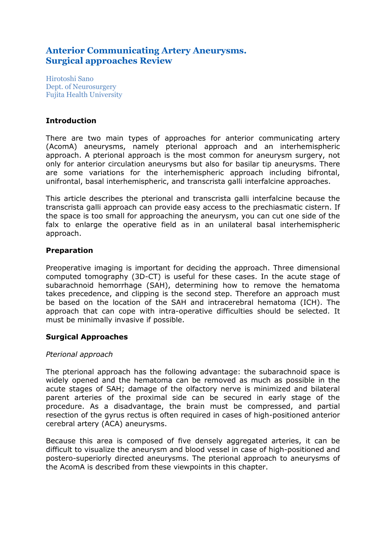# **Anterior Communicating Artery Aneurysms. Surgical approaches Review**

Hirotoshi Sano Dept. of Neurosurgery Fujita Health University

# **Introduction**

There are two main types of approaches for anterior communicating artery (AcomA) aneurysms, namely pterional approach and an interhemispheric approach. A pterional approach is the most common for aneurysm surgery, not only for anterior circulation aneurysms but also for basilar tip aneurysms. There are some variations for the interhemispheric approach including bifrontal, unifrontal, basal interhemispheric, and transcrista galli interfalcine approaches.

This article describes the pterional and transcrista galli interfalcine because the transcrista galli approach can provide easy access to the prechiasmatic cistern. If the space is too small for approaching the aneurysm, you can cut one side of the falx to enlarge the operative field as in an unilateral basal interhemispheric approach.

# **Preparation**

Preoperative imaging is important for deciding the approach. Three dimensional computed tomography (3D-CT) is useful for these cases. In the acute stage of subarachnoid hemorrhage (SAH), determining how to remove the hematoma takes precedence, and clipping is the second step. Therefore an approach must be based on the location of the SAH and intracerebral hematoma (ICH). The approach that can cope with intra-operative difficulties should be selected. It must be minimally invasive if possible.

# **Surgical Approaches**

# *Pterional approach*

The pterional approach has the following advantage: the subarachnoid space is widely opened and the hematoma can be removed as much as possible in the acute stages of SAH; damage of the olfactory nerve is minimized and bilateral parent arteries of the proximal side can be secured in early stage of the procedure. As a disadvantage, the brain must be compressed, and partial resection of the gyrus rectus is often required in cases of high-positioned anterior cerebral artery (ACA) aneurysms.

Because this area is composed of five densely aggregated arteries, it can be difficult to visualize the aneurysm and blood vessel in case of high-positioned and postero-superiorly directed aneurysms. The pterional approach to aneurysms of the AcomA is described from these viewpoints in this chapter.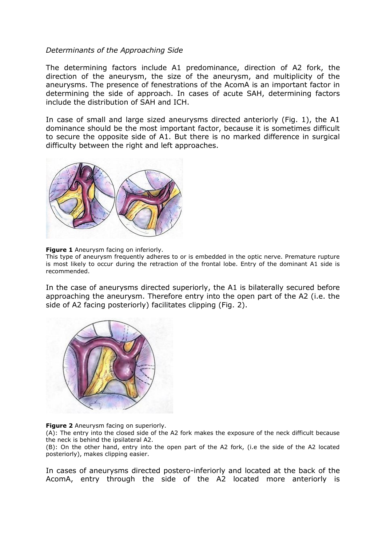## *Determinants of the Approaching Side*

The determining factors include A1 predominance, direction of A2 fork, the direction of the aneurysm, the size of the aneurysm, and multiplicity of the aneurysms. The presence of fenestrations of the AcomA is an important factor in determining the side of approach. In cases of acute SAH, determining factors include the distribution of SAH and ICH.

In case of small and large sized aneurysms directed anteriorly (Fig. 1), the A1 dominance should be the most important factor, because it is sometimes difficult to secure the opposite side of A1. But there is no marked difference in surgical difficulty between the right and left approaches.



**Figure 1** Aneurysm facing on inferiorly.

This type of aneurysm frequently adheres to or is embedded in the optic nerve. Premature rupture is most likely to occur during the retraction of the frontal lobe. Entry of the dominant A1 side is recommended.

In the case of aneurysms directed superiorly, the A1 is bilaterally secured before approaching the aneurysm. Therefore entry into the open part of the A2 (i.e. the side of A2 facing posteriorly) facilitates clipping (Fig. 2).



**Figure 2** Aneurysm facing on superiorly.

(A): The entry into the closed side of the A2 fork makes the exposure of the neck difficult because the neck is behind the ipsilateral A2.

(B): On the other hand, entry into the open part of the A2 fork, (i.e the side of the A2 located posteriorly), makes clipping easier.

In cases of aneurysms directed postero-inferiorly and located at the back of the AcomA, entry through the side of the A2 located more anteriorly is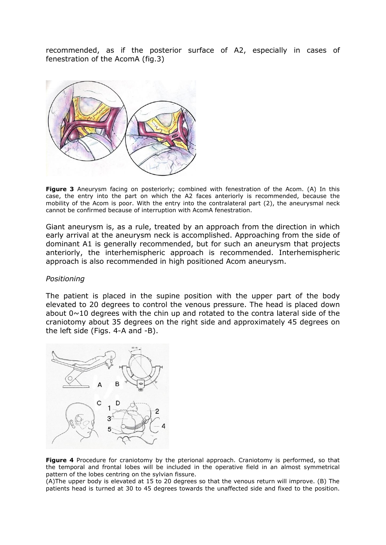recommended, as if the posterior surface of A2, especially in cases of fenestration of the AcomA (fig.3)



**Figure 3** Aneurysm facing on posteriorly; combined with fenestration of the Acom. (A) In this case, the entry into the part on which the A2 faces anteriorly is recommended, because the mobility of the Acom is poor. With the entry into the contralateral part (2), the aneurysmal neck cannot be confirmed because of interruption with AcomA fenestration.

Giant aneurysm is, as a rule, treated by an approach from the direction in which early arrival at the aneurysm neck is accomplished. Approaching from the side of dominant A1 is generally recommended, but for such an aneurysm that projects anteriorly, the interhemispheric approach is recommended. Interhemispheric approach is also recommended in high positioned Acom aneurysm.

#### *Positioning*

The patient is placed in the supine position with the upper part of the body elevated to 20 degrees to control the venous pressure. The head is placed down about  $0 \sim 10$  degrees with the chin up and rotated to the contra lateral side of the craniotomy about 35 degrees on the right side and approximately 45 degrees on the left side (Figs. 4-A and -B).



**Figure 4** Procedure for craniotomy by the pterional approach. Craniotomy is performed, so that the temporal and frontal lobes will be included in the operative field in an almost symmetrical pattern of the lobes centring on the sylvian fissure.

(A)The upper body is elevated at 15 to 20 degrees so that the venous return will improve. (B) The patients head is turned at 30 to 45 degrees towards the unaffected side and fixed to the position.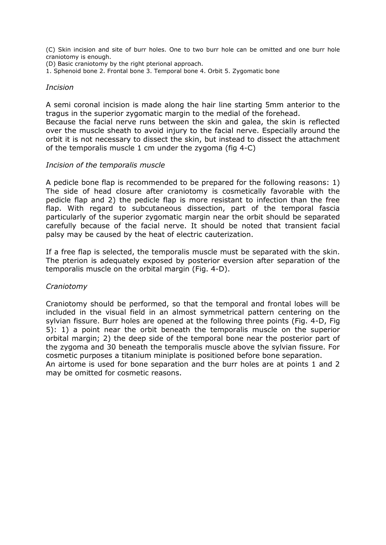(C) Skin incision and site of burr holes. One to two burr hole can be omitted and one burr hole craniotomy is enough.

(D) Basic craniotomy by the right pterional approach.

1. Sphenoid bone 2. Frontal bone 3. Temporal bone 4. Orbit 5. Zygomatic bone

#### *Incision*

A semi coronal incision is made along the hair line starting 5mm anterior to the tragus in the superior zygomatic margin to the medial of the forehead.

Because the facial nerve runs between the skin and galea, the skin is reflected over the muscle sheath to avoid injury to the facial nerve. Especially around the orbit it is not necessary to dissect the skin, but instead to dissect the attachment of the temporalis muscle 1 cm under the zygoma (fig 4-C)

## *Incision of the temporalis muscle*

A pedicle bone flap is recommended to be prepared for the following reasons: 1) The side of head closure after craniotomy is cosmetically favorable with the pedicle flap and 2) the pedicle flap is more resistant to infection than the free flap. With regard to subcutaneous dissection, part of the temporal fascia particularly of the superior zygomatic margin near the orbit should be separated carefully because of the facial nerve. It should be noted that transient facial palsy may be caused by the heat of electric cauterization.

If a free flap is selected, the temporalis muscle must be separated with the skin. The pterion is adequately exposed by posterior eversion after separation of the temporalis muscle on the orbital margin (Fig. 4-D).

#### *Craniotomy*

Craniotomy should be performed, so that the temporal and frontal lobes will be included in the visual field in an almost symmetrical pattern centering on the sylvian fissure. Burr holes are opened at the following three points (Fig. 4-D, Fig 5): 1) a point near the orbit beneath the temporalis muscle on the superior orbital margin; 2) the deep side of the temporal bone near the posterior part of the zygoma and 30 beneath the temporalis muscle above the sylvian fissure. For cosmetic purposes a titanium miniplate is positioned before bone separation. An airtome is used for bone separation and the burr holes are at points 1 and 2 may be omitted for cosmetic reasons.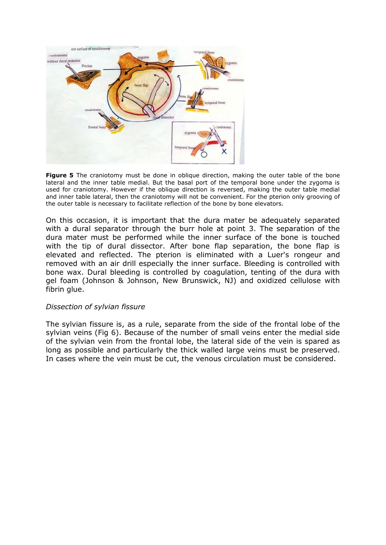

**Figure 5** The craniotomy must be done in oblique direction, making the outer table of the bone lateral and the inner table medial. But the basal port of the temporal bone under the zygoma is used for craniotomy. However if the oblique direction is reversed, making the outer table medial and inner table lateral, then the craniotomy will not be convenient. For the pterion only grooving of the outer table is necessary to facilitate reflection of the bone by bone elevators.

On this occasion, it is important that the dura mater be adequately separated with a dural separator through the burr hole at point 3. The separation of the dura mater must be performed while the inner surface of the bone is touched with the tip of dural dissector. After bone flap separation, the bone flap is elevated and reflected. The pterion is eliminated with a Luer's rongeur and removed with an air drill especially the inner surface. Bleeding is controlled with bone wax. Dural bleeding is controlled by coagulation, tenting of the dura with gel foam (Johnson & Johnson, New Brunswick, NJ) and oxidized cellulose with fibrin glue.

#### *Dissection of sylvian fissure*

The sylvian fissure is, as a rule, separate from the side of the frontal lobe of the sylvian veins (Fig 6). Because of the number of small veins enter the medial side of the sylvian vein from the frontal lobe, the lateral side of the vein is spared as long as possible and particularly the thick walled large veins must be preserved. In cases where the vein must be cut, the venous circulation must be considered.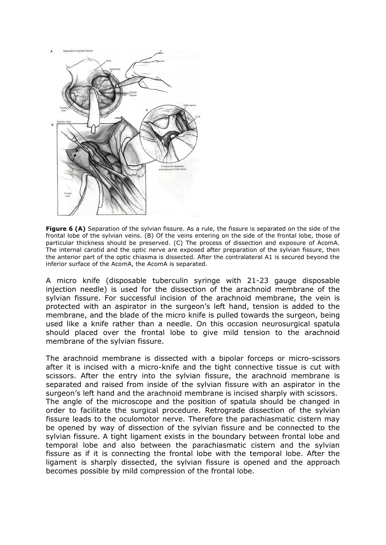

**Figure 6 (A)** Separation of the sylvian fissure. As a rule, the fissure is separated on the side of the frontal lobe of the sylvian veins. (B) Of the veins entering on the side of the frontal lobe, those of particular thickness should be preserved. (C) The process of dissection and exposure of AcomA. The internal carotid and the optic nerve are exposed after preparation of the sylvian fissure, then the anterior part of the optic chiasma is dissected. After the contralateral A1 is secured beyond the inferior surface of the AcomA, the AcomA is separated.

A micro knife (disposable tuberculin syringe with 21-23 gauge disposable injection needle) is used for the dissection of the arachnoid membrane of the sylvian fissure. For successful incision of the arachnoid membrane, the vein is protected with an aspirator in the surgeon's left hand, tension is added to the membrane, and the blade of the micro knife is pulled towards the surgeon, being used like a knife rather than a needle. On this occasion neurosurgical spatula should placed over the frontal lobe to give mild tension to the arachnoid membrane of the sylvian fissure.

The arachnoid membrane is dissected with a bipolar forceps or micro-scissors after it is incised with a micro-knife and the tight connective tissue is cut with scissors. After the entry into the sylvian fissure, the arachnoid membrane is separated and raised from inside of the sylvian fissure with an aspirator in the surgeon's left hand and the arachnoid membrane is incised sharply with scissors. The angle of the microscope and the position of spatula should be changed in order to facilitate the surgical procedure. Retrograde dissection of the sylvian fissure leads to the oculomotor nerve. Therefore the parachiasmatic cistern may be opened by way of dissection of the sylvian fissure and be connected to the sylvian fissure. A tight ligament exists in the boundary between frontal lobe and temporal lobe and also between the parachiasmatic cistern and the sylvian fissure as if it is connecting the frontal lobe with the temporal lobe. After the ligament is sharply dissected, the sylvian fissure is opened and the approach becomes possible by mild compression of the frontal lobe.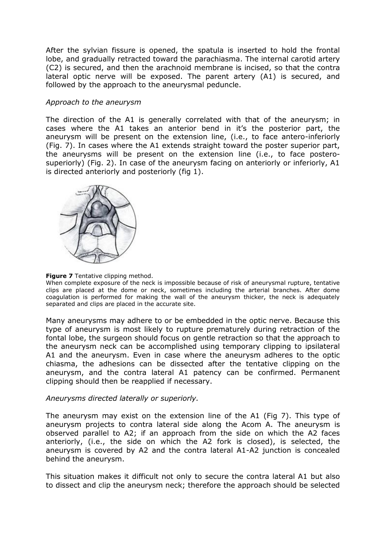After the sylvian fissure is opened, the spatula is inserted to hold the frontal lobe, and gradually retracted toward the parachiasma. The internal carotid artery (C2) is secured, and then the arachnoid membrane is incised, so that the contra lateral optic nerve will be exposed. The parent artery (A1) is secured, and followed by the approach to the aneurysmal peduncle.

## *Approach to the aneurysm*

The direction of the A1 is generally correlated with that of the aneurysm; in cases where the A1 takes an anterior bend in it's the posterior part, the aneurysm will be present on the extension line, (i.e., to face antero-inferiorly (Fig. 7). In cases where the A1 extends straight toward the poster superior part, the aneurysms will be present on the extension line (i.e., to face posterosuperiorly) (Fig. 2). In case of the aneurysm facing on anteriorly or inferiorly, A1 is directed anteriorly and posteriorly (fig 1).



#### **Figure 7** Tentative clipping method.

When complete exposure of the neck is impossible because of risk of aneurysmal rupture, tentative clips are placed at the dome or neck, sometimes including the arterial branches. After dome coagulation is performed for making the wall of the aneurysm thicker, the neck is adequately separated and clips are placed in the accurate site.

Many aneurysms may adhere to or be embedded in the optic nerve. Because this type of aneurysm is most likely to rupture prematurely during retraction of the fontal lobe, the surgeon should focus on gentle retraction so that the approach to the aneurysm neck can be accomplished using temporary clipping to ipsilateral A1 and the aneurysm. Even in case where the aneurysm adheres to the optic chiasma, the adhesions can be dissected after the tentative clipping on the aneurysm, and the contra lateral A1 patency can be confirmed. Permanent clipping should then be reapplied if necessary.

#### *Aneurysms directed laterally or superiorly.*

The aneurysm may exist on the extension line of the A1 (Fig 7). This type of aneurysm projects to contra lateral side along the Acom A. The aneurysm is observed parallel to A2; if an approach from the side on which the A2 faces anteriorly, (i.e., the side on which the A2 fork is closed), is selected, the aneurysm is covered by A2 and the contra lateral A1-A2 junction is concealed behind the aneurysm.

This situation makes it difficult not only to secure the contra lateral A1 but also to dissect and clip the aneurysm neck; therefore the approach should be selected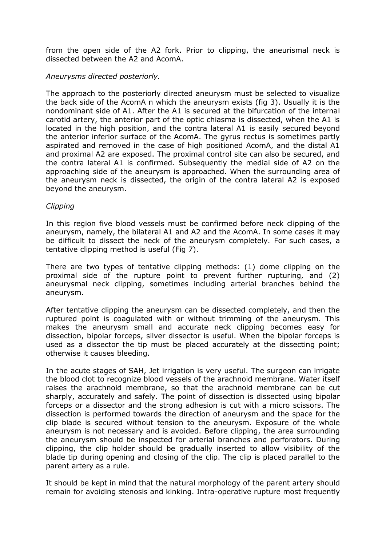from the open side of the A2 fork. Prior to clipping, the aneurismal neck is dissected between the A2 and AcomA.

## *Aneurysms directed posteriorly.*

The approach to the posteriorly directed aneurysm must be selected to visualize the back side of the AcomA n which the aneurysm exists (fig 3). Usually it is the nondominant side of A1. After the A1 is secured at the bifurcation of the internal carotid artery, the anterior part of the optic chiasma is dissected, when the A1 is located in the high position, and the contra lateral A1 is easily secured beyond the anterior inferior surface of the AcomA. The gyrus rectus is sometimes partly aspirated and removed in the case of high positioned AcomA, and the distal A1 and proximal A2 are exposed. The proximal control site can also be secured, and the contra lateral A1 is confirmed. Subsequently the medial side of A2 on the approaching side of the aneurysm is approached. When the surrounding area of the aneurysm neck is dissected, the origin of the contra lateral A2 is exposed beyond the aneurysm.

#### *Clipping*

In this region five blood vessels must be confirmed before neck clipping of the aneurysm, namely, the bilateral A1 and A2 and the AcomA. In some cases it may be difficult to dissect the neck of the aneurysm completely. For such cases, a tentative clipping method is useful (Fig 7).

There are two types of tentative clipping methods: (1) dome clipping on the proximal side of the rupture point to prevent further rupturing, and (2) aneurysmal neck clipping, sometimes including arterial branches behind the aneurysm.

After tentative clipping the aneurysm can be dissected completely, and then the ruptured point is coagulated with or without trimming of the aneurysm. This makes the aneurysm small and accurate neck clipping becomes easy for dissection, bipolar forceps, silver dissector is useful. When the bipolar forceps is used as a dissector the tip must be placed accurately at the dissecting point; otherwise it causes bleeding.

In the acute stages of SAH, Jet irrigation is very useful. The surgeon can irrigate the blood clot to recognize blood vessels of the arachnoid membrane. Water itself raises the arachnoid membrane, so that the arachnoid membrane can be cut sharply, accurately and safely. The point of dissection is dissected using bipolar forceps or a dissector and the strong adhesion is cut with a micro scissors. The dissection is performed towards the direction of aneurysm and the space for the clip blade is secured without tension to the aneurysm. Exposure of the whole aneurysm is not necessary and is avoided. Before clipping, the area surrounding the aneurysm should be inspected for arterial branches and perforators. During clipping, the clip holder should be gradually inserted to allow visibility of the blade tip during opening and closing of the clip. The clip is placed parallel to the parent artery as a rule.

It should be kept in mind that the natural morphology of the parent artery should remain for avoiding stenosis and kinking. Intra-operative rupture most frequently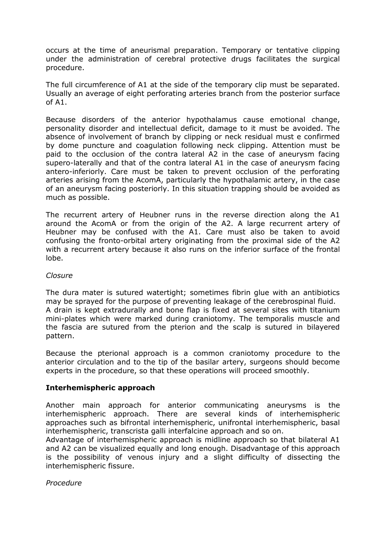occurs at the time of aneurismal preparation. Temporary or tentative clipping under the administration of cerebral protective drugs facilitates the surgical procedure.

The full circumference of A1 at the side of the temporary clip must be separated. Usually an average of eight perforating arteries branch from the posterior surface of A1.

Because disorders of the anterior hypothalamus cause emotional change, personality disorder and intellectual deficit, damage to it must be avoided. The absence of involvement of branch by clipping or neck residual must e confirmed by dome puncture and coagulation following neck clipping. Attention must be paid to the occlusion of the contra lateral A2 in the case of aneurysm facing supero-laterally and that of the contra lateral A1 in the case of aneurysm facing antero-inferiorly. Care must be taken to prevent occlusion of the perforating arteries arising from the AcomA, particularly the hypothalamic artery, in the case of an aneurysm facing posteriorly. In this situation trapping should be avoided as much as possible.

The recurrent artery of Heubner runs in the reverse direction along the A1 around the AcomA or from the origin of the A2. A large recurrent artery of Heubner may be confused with the A1. Care must also be taken to avoid confusing the fronto-orbital artery originating from the proximal side of the A2 with a recurrent artery because it also runs on the inferior surface of the frontal lobe.

### *Closure*

The dura mater is sutured watertight; sometimes fibrin glue with an antibiotics may be sprayed for the purpose of preventing leakage of the cerebrospinal fluid. A drain is kept extradurally and bone flap is fixed at several sites with titanium mini-plates which were marked during craniotomy. The temporalis muscle and the fascia are sutured from the pterion and the scalp is sutured in bilayered pattern.

Because the pterional approach is a common craniotomy procedure to the anterior circulation and to the tip of the basilar artery, surgeons should become experts in the procedure, so that these operations will proceed smoothly.

# **Interhemispheric approach**

Another main approach for anterior communicating aneurysms is the interhemispheric approach. There are several kinds of interhemispheric approaches such as bifrontal interhemispheric, unifrontal interhemispheric, basal interhemispheric, transcrista galli interfalcine approach and so on.

Advantage of interhemispheric approach is midline approach so that bilateral A1 and A2 can be visualized equally and long enough. Disadvantage of this approach is the possibility of venous injury and a slight difficulty of dissecting the interhemispheric fissure.

*Procedure*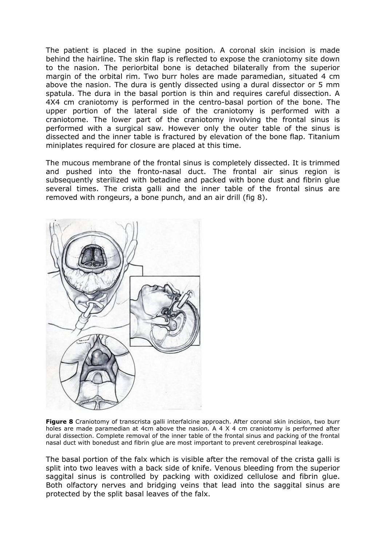The patient is placed in the supine position. A coronal skin incision is made behind the hairline. The skin flap is reflected to expose the craniotomy site down to the nasion. The periorbital bone is detached bilaterally from the superior margin of the orbital rim. Two burr holes are made paramedian, situated 4 cm above the nasion. The dura is gently dissected using a dural dissector or 5 mm spatula. The dura in the basal portion is thin and requires careful dissection. A 4X4 cm craniotomy is performed in the centro-basal portion of the bone. The upper portion of the lateral side of the craniotomy is performed with a craniotome. The lower part of the craniotomy involving the frontal sinus is performed with a surgical saw. However only the outer table of the sinus is dissected and the inner table is fractured by elevation of the bone flap. Titanium miniplates required for closure are placed at this time.

The mucous membrane of the frontal sinus is completely dissected. It is trimmed and pushed into the fronto-nasal duct. The frontal air sinus region is subsequently sterilized with betadine and packed with bone dust and fibrin glue several times. The crista galli and the inner table of the frontal sinus are removed with rongeurs, a bone punch, and an air drill (fig 8).



**Figure 8** Craniotomy of transcrista galli interfalcine approach. After coronal skin incision, two burr holes are made paramedian at 4cm above the nasion. A 4 X 4 cm craniotomy is performed after dural dissection. Complete removal of the inner table of the frontal sinus and packing of the frontal nasal duct with bonedust and fibrin glue are most important to prevent cerebrospinal leakage.

The basal portion of the falx which is visible after the removal of the crista galli is split into two leaves with a back side of knife. Venous bleeding from the superior saggital sinus is controlled by packing with oxidized cellulose and fibrin glue. Both olfactory nerves and bridging veins that lead into the saggital sinus are protected by the split basal leaves of the falx.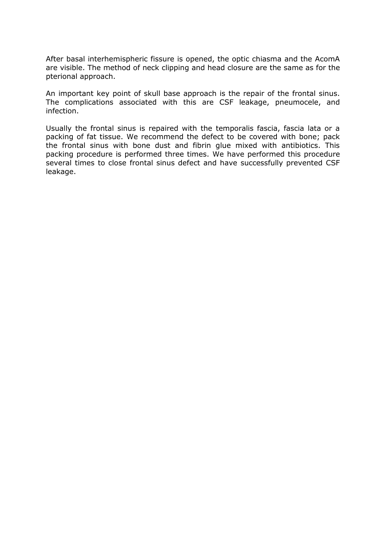After basal interhemispheric fissure is opened, the optic chiasma and the AcomA are visible. The method of neck clipping and head closure are the same as for the pterional approach.

An important key point of skull base approach is the repair of the frontal sinus. The complications associated with this are CSF leakage, pneumocele, and infection.

Usually the frontal sinus is repaired with the temporalis fascia, fascia lata or a packing of fat tissue. We recommend the defect to be covered with bone; pack the frontal sinus with bone dust and fibrin glue mixed with antibiotics. This packing procedure is performed three times. We have performed this procedure several times to close frontal sinus defect and have successfully prevented CSF leakage.